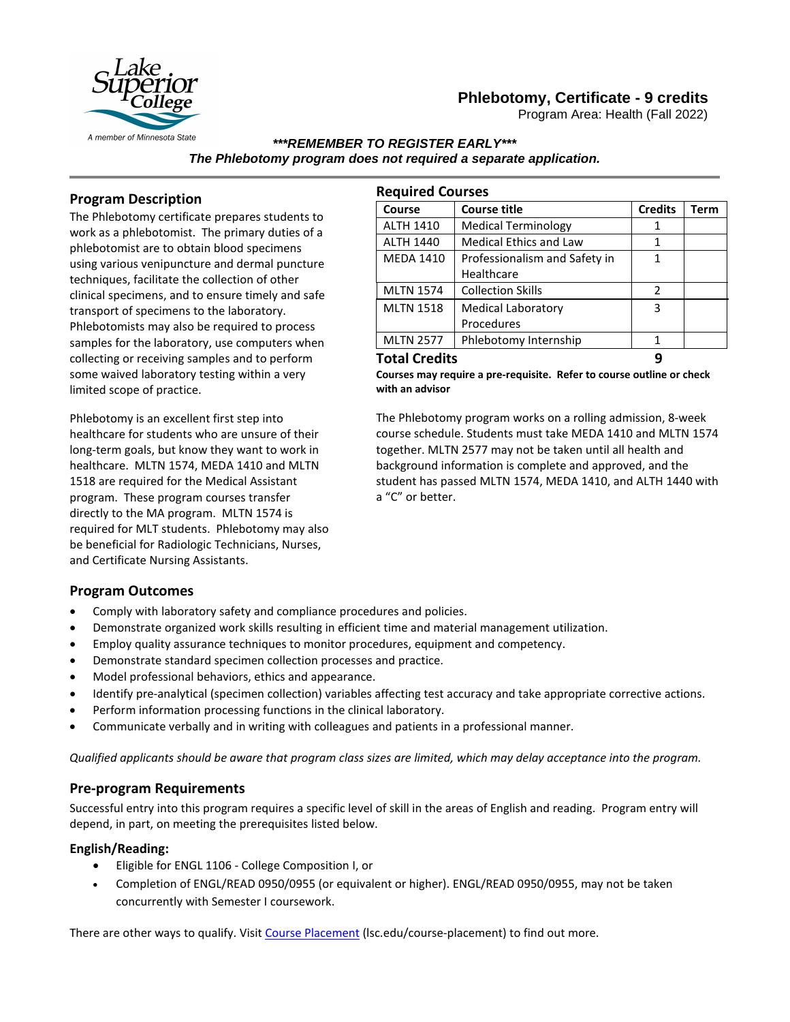

Program Area: Health (Fall 2022)



#### *\*\*\*REMEMBER TO REGISTER EARLY\*\*\* The Phlebotomy program does not required a separate application.*

## **Program Description**

The Phlebotomy certificate prepares students to work as a phlebotomist. The primary duties of a phlebotomist are to obtain blood specimens using various venipuncture and dermal puncture techniques, facilitate the collection of other clinical specimens, and to ensure timely and safe transport of specimens to the laboratory. Phlebotomists may also be required to process samples for the laboratory, use computers when collecting or receiving samples and to perform some waived laboratory testing within a very limited scope of practice.

Phlebotomy is an excellent first step into healthcare for students who are unsure of their long-term goals, but know they want to work in healthcare. MLTN 1574, MEDA 1410 and MLTN 1518 are required for the Medical Assistant program. These program courses transfer directly to the MA program. MLTN 1574 is required for MLT students. Phlebotomy may also be beneficial for Radiologic Technicians, Nurses, and Certificate Nursing Assistants.

| <b>Required Courses</b> |                               |                |             |
|-------------------------|-------------------------------|----------------|-------------|
| Course                  | <b>Course title</b>           | <b>Credits</b> | <b>Term</b> |
| <b>ALTH 1410</b>        | <b>Medical Terminology</b>    | 1              |             |
| <b>ALTH 1440</b>        | <b>Medical Ethics and Law</b> | 1              |             |
| <b>MEDA 1410</b>        | Professionalism and Safety in | 1              |             |
|                         | Healthcare                    |                |             |
| <b>MLTN 1574</b>        | <b>Collection Skills</b>      | $\mathcal{P}$  |             |
| <b>MLTN 1518</b>        | <b>Medical Laboratory</b>     | 3              |             |
|                         | Procedures                    |                |             |
| <b>MLTN 2577</b>        | Phlebotomy Internship         | 1              |             |
| <b>Total Credits</b>    |                               |                |             |

**Courses may require a pre-requisite. Refer to course outline or check with an advisor** 

The Phlebotomy program works on a rolling admission, 8-week course schedule. Students must take MEDA 1410 and MLTN 1574 together. MLTN 2577 may not be taken until all health and background information is complete and approved, and the student has passed MLTN 1574, MEDA 1410, and ALTH 1440 with a "C" or better.

### **Program Outcomes**

- Comply with laboratory safety and compliance procedures and policies.
- Demonstrate organized work skills resulting in efficient time and material management utilization.
- Employ quality assurance techniques to monitor procedures, equipment and competency.
- Demonstrate standard specimen collection processes and practice.
- Model professional behaviors, ethics and appearance.
- Identify pre-analytical (specimen collection) variables affecting test accuracy and take appropriate corrective actions.
- Perform information processing functions in the clinical laboratory.
- Communicate verbally and in writing with colleagues and patients in a professional manner.

*Qualified applicants should be aware that program class sizes are limited, which may delay acceptance into the program.*

#### **Pre-program Requirements**

Successful entry into this program requires a specific level of skill in the areas of English and reading. Program entry will depend, in part, on meeting the prerequisites listed below.

#### **English/Reading:**

- Eligible for ENGL 1106 College Composition I, or
- Completion of ENGL/READ 0950/0955 (or equivalent or higher). ENGL/READ 0950/0955, may not be taken concurrently with Semester I coursework.

There are other ways to qualify. Visi[t Course Placement](https://www.lsc.edu/course-placement) (lsc.edu/course-placement) to find out more.